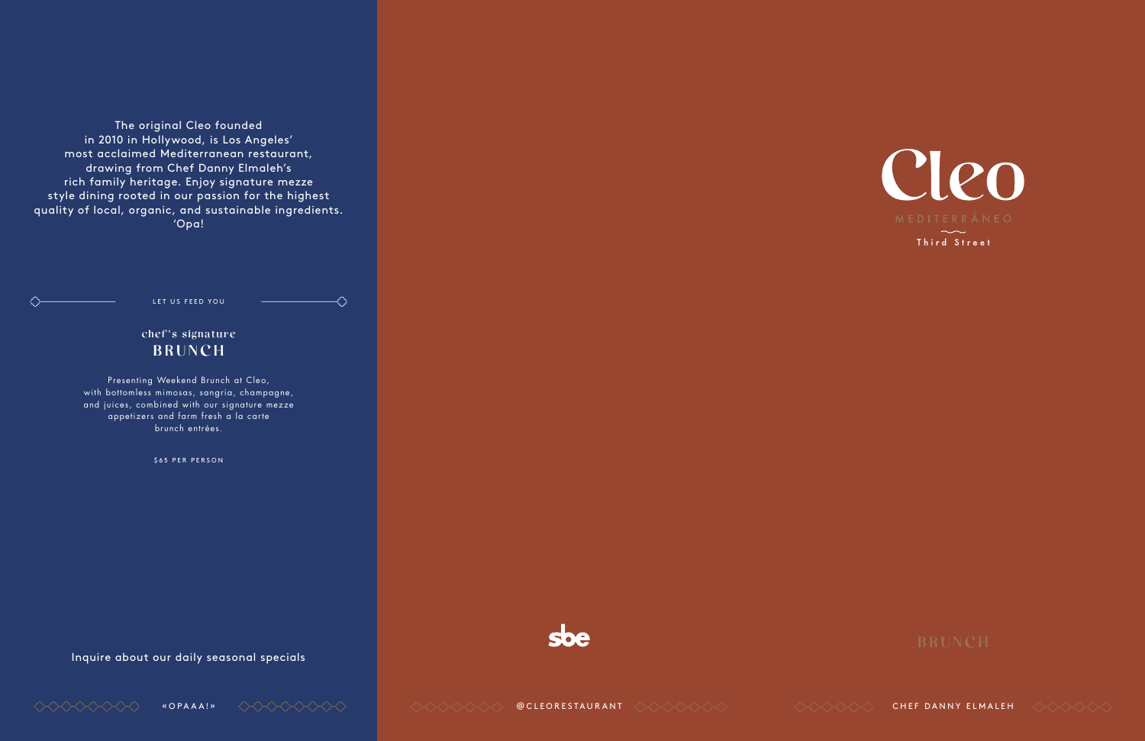The original Cleo founded in 2010 in Hollywood, is Los Angeles' most acclaimed Mediterranean restaurant, drawing from Chef Danny Elmaleh's rich family heritage. Enjoy signature mezze style dining rooted in our passion for the highest quality of local, organic, and sustainable ingredients. 'Opa!

Inquire about our daily seasonal specials





Third Street



LET US FEED YOU

⇔

 $\left\langle \cdot \right\rangle$ 

chef's signature BRUNCH

Presenting Weekend Brunch at Cleo, with bottomless mimosas, sangria, champagne, and juices, combined with our signature mezze appetizers and farm fresh a la carte brunch entrées.

\$65 PER PERSON